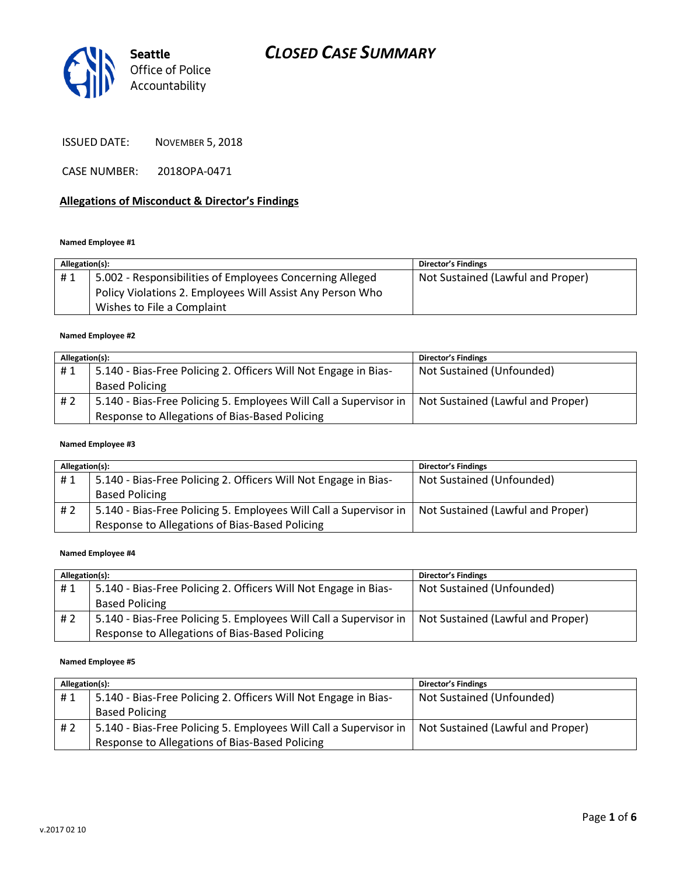

ISSUED DATE: NOVEMBER 5, 2018

CASE NUMBER: 2018OPA-0471

### **Allegations of Misconduct & Director's Findings**

#### **Named Employee #1**

| Allegation(s): |                                                           | <b>Director's Findings</b>        |
|----------------|-----------------------------------------------------------|-----------------------------------|
| #1             | 5.002 - Responsibilities of Employees Concerning Alleged  | Not Sustained (Lawful and Proper) |
|                | Policy Violations 2. Employees Will Assist Any Person Who |                                   |
|                | Wishes to File a Complaint                                |                                   |

#### **Named Employee #2**

| Allegation(s): |                                                                   | <b>Director's Findings</b>        |
|----------------|-------------------------------------------------------------------|-----------------------------------|
| #1             | 5.140 - Bias-Free Policing 2. Officers Will Not Engage in Bias-   | Not Sustained (Unfounded)         |
|                | <b>Based Policing</b>                                             |                                   |
| # 2            | 5.140 - Bias-Free Policing 5. Employees Will Call a Supervisor in | Not Sustained (Lawful and Proper) |
|                | Response to Allegations of Bias-Based Policing                    |                                   |

### **Named Employee #3**

| Allegation(s): |                                                                   | <b>Director's Findings</b>        |
|----------------|-------------------------------------------------------------------|-----------------------------------|
| #1             | 5.140 - Bias-Free Policing 2. Officers Will Not Engage in Bias-   | Not Sustained (Unfounded)         |
|                | <b>Based Policing</b>                                             |                                   |
| # 2            | 5.140 - Bias-Free Policing 5. Employees Will Call a Supervisor in | Not Sustained (Lawful and Proper) |
|                | Response to Allegations of Bias-Based Policing                    |                                   |

#### **Named Employee #4**

| Allegation(s): |                                                                   | <b>Director's Findings</b>        |
|----------------|-------------------------------------------------------------------|-----------------------------------|
| #1             | 5.140 - Bias-Free Policing 2. Officers Will Not Engage in Bias-   | Not Sustained (Unfounded)         |
|                | <b>Based Policing</b>                                             |                                   |
| #2             | 5.140 - Bias-Free Policing 5. Employees Will Call a Supervisor in | Not Sustained (Lawful and Proper) |
|                | Response to Allegations of Bias-Based Policing                    |                                   |

#### **Named Employee #5**

| Allegation(s): |                                                                   | <b>Director's Findings</b>        |
|----------------|-------------------------------------------------------------------|-----------------------------------|
| #1             | 5.140 - Bias-Free Policing 2. Officers Will Not Engage in Bias-   | Not Sustained (Unfounded)         |
|                | <b>Based Policing</b>                                             |                                   |
| #2             | 5.140 - Bias-Free Policing 5. Employees Will Call a Supervisor in | Not Sustained (Lawful and Proper) |
|                | Response to Allegations of Bias-Based Policing                    |                                   |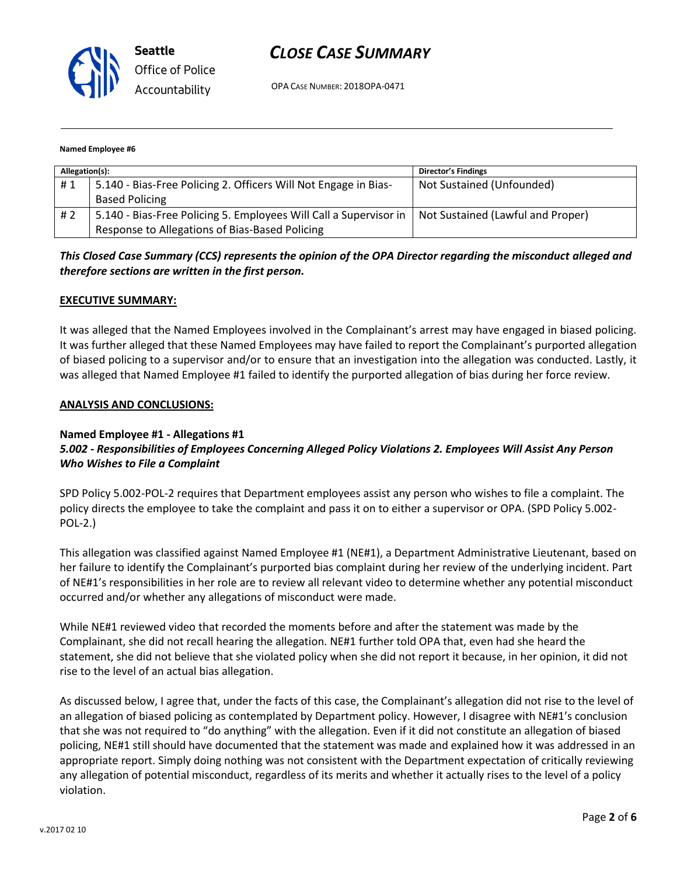

OPA CASE NUMBER: 2018OPA-0471

#### **Named Employee #6**

| Allegation(s): |                                                                   | <b>Director's Findings</b>        |
|----------------|-------------------------------------------------------------------|-----------------------------------|
| #1             | 5.140 - Bias-Free Policing 2. Officers Will Not Engage in Bias-   | Not Sustained (Unfounded)         |
|                | <b>Based Policing</b>                                             |                                   |
| #2             | 5.140 - Bias-Free Policing 5. Employees Will Call a Supervisor in | Not Sustained (Lawful and Proper) |
|                | Response to Allegations of Bias-Based Policing                    |                                   |

## *This Closed Case Summary (CCS) represents the opinion of the OPA Director regarding the misconduct alleged and therefore sections are written in the first person.*

### **EXECUTIVE SUMMARY:**

It was alleged that the Named Employees involved in the Complainant's arrest may have engaged in biased policing. It was further alleged that these Named Employees may have failed to report the Complainant's purported allegation of biased policing to a supervisor and/or to ensure that an investigation into the allegation was conducted. Lastly, it was alleged that Named Employee #1 failed to identify the purported allegation of bias during her force review.

### **ANALYSIS AND CONCLUSIONS:**

### **Named Employee #1 - Allegations #1**

## *5.002 - Responsibilities of Employees Concerning Alleged Policy Violations 2. Employees Will Assist Any Person Who Wishes to File a Complaint*

SPD Policy 5.002-POL-2 requires that Department employees assist any person who wishes to file a complaint. The policy directs the employee to take the complaint and pass it on to either a supervisor or OPA. (SPD Policy 5.002- POL-2.)

This allegation was classified against Named Employee #1 (NE#1), a Department Administrative Lieutenant, based on her failure to identify the Complainant's purported bias complaint during her review of the underlying incident. Part of NE#1's responsibilities in her role are to review all relevant video to determine whether any potential misconduct occurred and/or whether any allegations of misconduct were made.

While NE#1 reviewed video that recorded the moments before and after the statement was made by the Complainant, she did not recall hearing the allegation. NE#1 further told OPA that, even had she heard the statement, she did not believe that she violated policy when she did not report it because, in her opinion, it did not rise to the level of an actual bias allegation.

As discussed below, I agree that, under the facts of this case, the Complainant's allegation did not rise to the level of an allegation of biased policing as contemplated by Department policy. However, I disagree with NE#1's conclusion that she was not required to "do anything" with the allegation. Even if it did not constitute an allegation of biased policing, NE#1 still should have documented that the statement was made and explained how it was addressed in an appropriate report. Simply doing nothing was not consistent with the Department expectation of critically reviewing any allegation of potential misconduct, regardless of its merits and whether it actually rises to the level of a policy violation.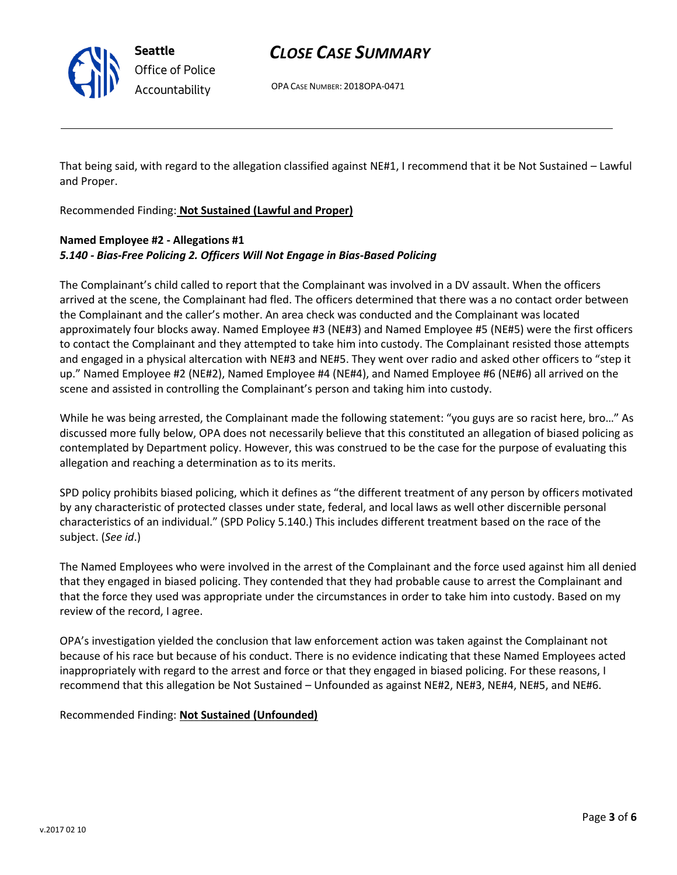OPA CASE NUMBER: 2018OPA-0471

That being said, with regard to the allegation classified against NE#1, I recommend that it be Not Sustained – Lawful and Proper.

Recommended Finding: **Not Sustained (Lawful and Proper)**

## **Named Employee #2 - Allegations #1** *5.140 - Bias-Free Policing 2. Officers Will Not Engage in Bias-Based Policing*

The Complainant's child called to report that the Complainant was involved in a DV assault. When the officers arrived at the scene, the Complainant had fled. The officers determined that there was a no contact order between the Complainant and the caller's mother. An area check was conducted and the Complainant was located approximately four blocks away. Named Employee #3 (NE#3) and Named Employee #5 (NE#5) were the first officers to contact the Complainant and they attempted to take him into custody. The Complainant resisted those attempts and engaged in a physical altercation with NE#3 and NE#5. They went over radio and asked other officers to "step it up." Named Employee #2 (NE#2), Named Employee #4 (NE#4), and Named Employee #6 (NE#6) all arrived on the scene and assisted in controlling the Complainant's person and taking him into custody.

While he was being arrested, the Complainant made the following statement: "you guys are so racist here, bro…" As discussed more fully below, OPA does not necessarily believe that this constituted an allegation of biased policing as contemplated by Department policy. However, this was construed to be the case for the purpose of evaluating this allegation and reaching a determination as to its merits.

SPD policy prohibits biased policing, which it defines as "the different treatment of any person by officers motivated by any characteristic of protected classes under state, federal, and local laws as well other discernible personal characteristics of an individual." (SPD Policy 5.140.) This includes different treatment based on the race of the subject. (*See id*.)

The Named Employees who were involved in the arrest of the Complainant and the force used against him all denied that they engaged in biased policing. They contended that they had probable cause to arrest the Complainant and that the force they used was appropriate under the circumstances in order to take him into custody. Based on my review of the record, I agree.

OPA's investigation yielded the conclusion that law enforcement action was taken against the Complainant not because of his race but because of his conduct. There is no evidence indicating that these Named Employees acted inappropriately with regard to the arrest and force or that they engaged in biased policing. For these reasons, I recommend that this allegation be Not Sustained – Unfounded as against NE#2, NE#3, NE#4, NE#5, and NE#6.

Recommended Finding: **Not Sustained (Unfounded)**



**Seattle** *Office of Police Accountability*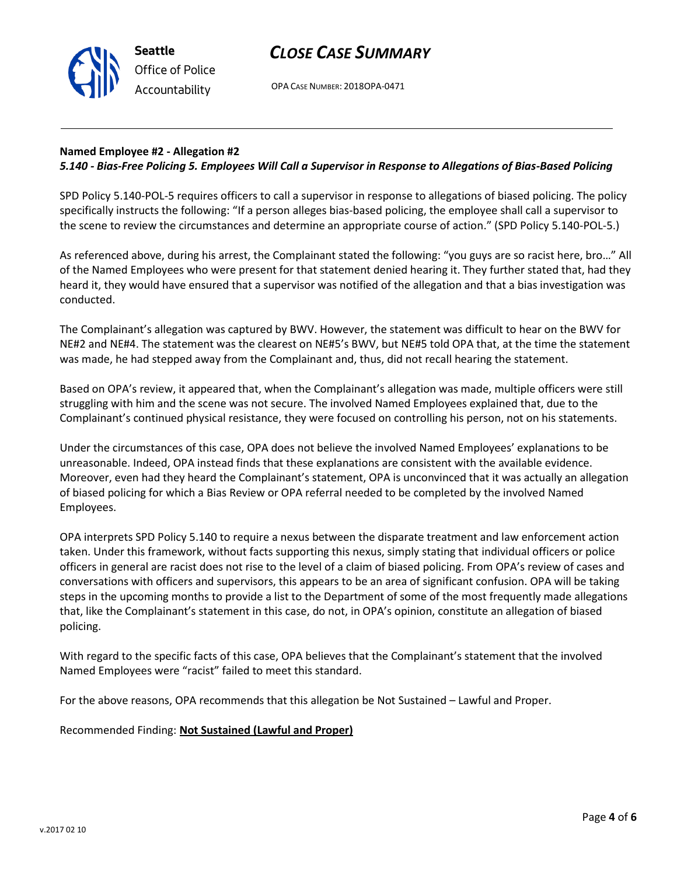OPA CASE NUMBER: 2018OPA-0471

## **Named Employee #2 - Allegation #2**

## *5.140 - Bias-Free Policing 5. Employees Will Call a Supervisor in Response to Allegations of Bias-Based Policing*

SPD Policy 5.140-POL-5 requires officers to call a supervisor in response to allegations of biased policing. The policy specifically instructs the following: "If a person alleges bias‐based policing, the employee shall call a supervisor to the scene to review the circumstances and determine an appropriate course of action." (SPD Policy 5.140-POL-5.)

As referenced above, during his arrest, the Complainant stated the following: "you guys are so racist here, bro…" All of the Named Employees who were present for that statement denied hearing it. They further stated that, had they heard it, they would have ensured that a supervisor was notified of the allegation and that a bias investigation was conducted.

The Complainant's allegation was captured by BWV. However, the statement was difficult to hear on the BWV for NE#2 and NE#4. The statement was the clearest on NE#5's BWV, but NE#5 told OPA that, at the time the statement was made, he had stepped away from the Complainant and, thus, did not recall hearing the statement.

Based on OPA's review, it appeared that, when the Complainant's allegation was made, multiple officers were still struggling with him and the scene was not secure. The involved Named Employees explained that, due to the Complainant's continued physical resistance, they were focused on controlling his person, not on his statements.

Under the circumstances of this case, OPA does not believe the involved Named Employees' explanations to be unreasonable. Indeed, OPA instead finds that these explanations are consistent with the available evidence. Moreover, even had they heard the Complainant's statement, OPA is unconvinced that it was actually an allegation of biased policing for which a Bias Review or OPA referral needed to be completed by the involved Named Employees.

OPA interprets SPD Policy 5.140 to require a nexus between the disparate treatment and law enforcement action taken. Under this framework, without facts supporting this nexus, simply stating that individual officers or police officers in general are racist does not rise to the level of a claim of biased policing. From OPA's review of cases and conversations with officers and supervisors, this appears to be an area of significant confusion. OPA will be taking steps in the upcoming months to provide a list to the Department of some of the most frequently made allegations that, like the Complainant's statement in this case, do not, in OPA's opinion, constitute an allegation of biased policing.

With regard to the specific facts of this case, OPA believes that the Complainant's statement that the involved Named Employees were "racist" failed to meet this standard.

For the above reasons, OPA recommends that this allegation be Not Sustained – Lawful and Proper.

Recommended Finding: **Not Sustained (Lawful and Proper)**



**Seattle** *Office of Police Accountability*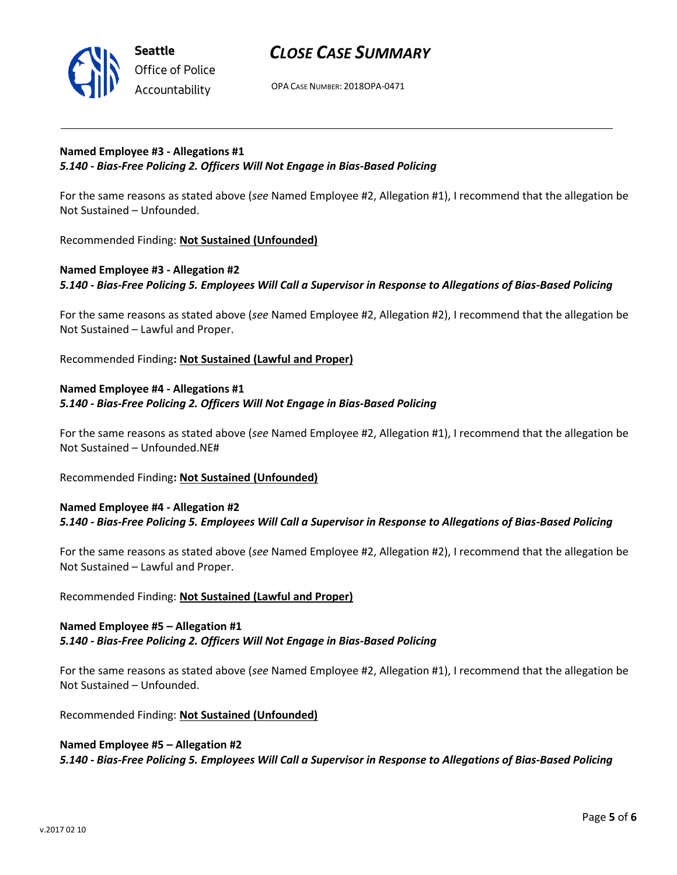

OPA CASE NUMBER: 2018OPA-0471

## **Named Employee #3 - Allegations #1** *5.140 - Bias-Free Policing 2. Officers Will Not Engage in Bias-Based Policing*

For the same reasons as stated above (*see* Named Employee #2, Allegation #1), I recommend that the allegation be Not Sustained – Unfounded.

Recommended Finding: **Not Sustained (Unfounded)**

## **Named Employee #3 - Allegation #2** *5.140 - Bias-Free Policing 5. Employees Will Call a Supervisor in Response to Allegations of Bias-Based Policing*

For the same reasons as stated above (*see* Named Employee #2, Allegation #2), I recommend that the allegation be Not Sustained – Lawful and Proper.

Recommended Finding**: Not Sustained (Lawful and Proper)**

## **Named Employee #4 - Allegations #1** *5.140 - Bias-Free Policing 2. Officers Will Not Engage in Bias-Based Policing*

For the same reasons as stated above (*see* Named Employee #2, Allegation #1), I recommend that the allegation be Not Sustained – Unfounded.NE#

Recommended Finding**: Not Sustained (Unfounded)**

## **Named Employee #4 - Allegation #2** *5.140 - Bias-Free Policing 5. Employees Will Call a Supervisor in Response to Allegations of Bias-Based Policing*

For the same reasons as stated above (*see* Named Employee #2, Allegation #2), I recommend that the allegation be Not Sustained – Lawful and Proper.

### Recommended Finding: **Not Sustained (Lawful and Proper)**

## **Named Employee #5 – Allegation #1** *5.140 - Bias-Free Policing 2. Officers Will Not Engage in Bias-Based Policing*

For the same reasons as stated above (*see* Named Employee #2, Allegation #1), I recommend that the allegation be Not Sustained – Unfounded.

Recommended Finding: **Not Sustained (Unfounded)**

### **Named Employee #5 – Allegation #2**

*5.140 - Bias-Free Policing 5. Employees Will Call a Supervisor in Response to Allegations of Bias-Based Policing*